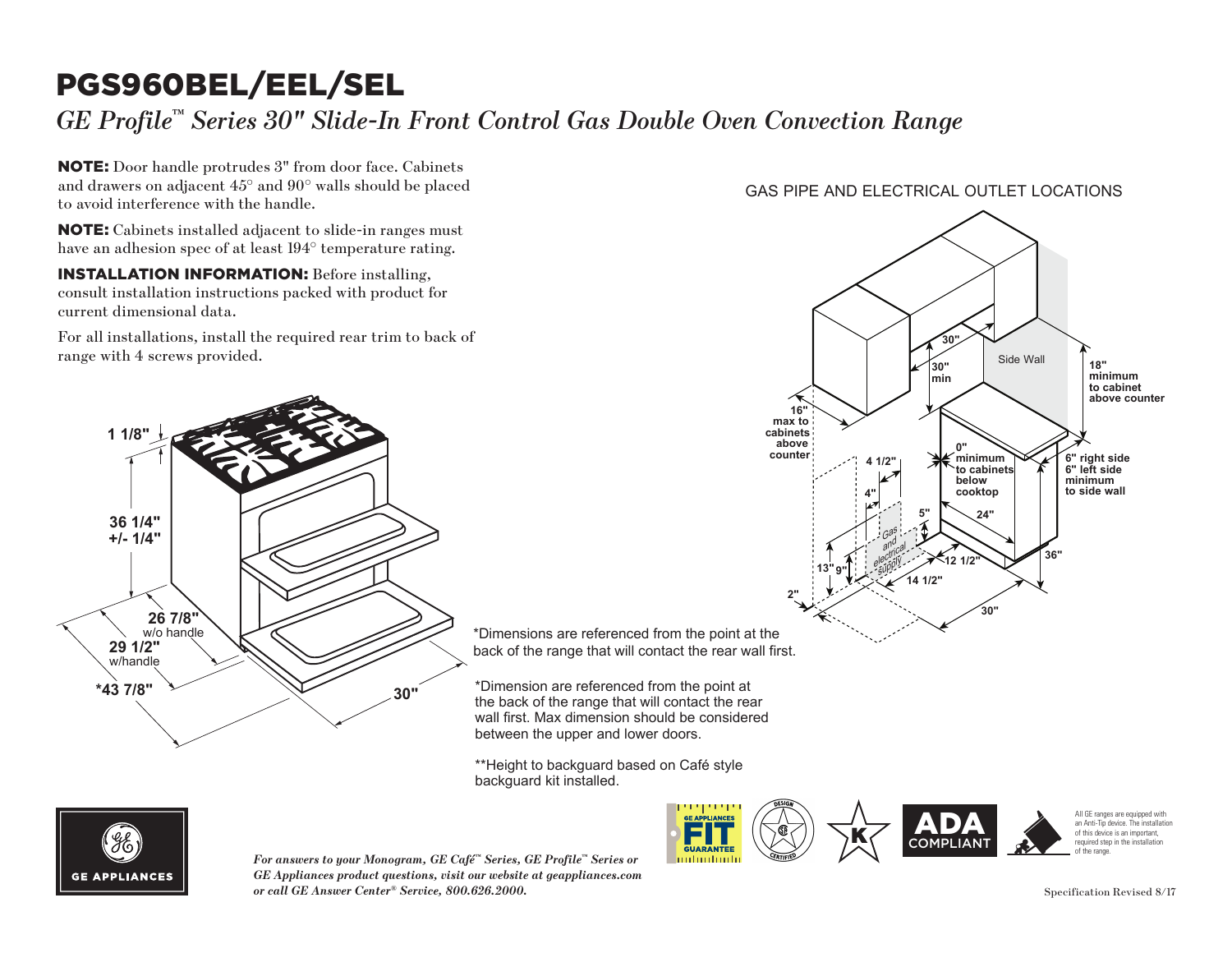# PGS960BEL/EEL/SEL

*GE Profile™ Series 30" Slide-In Front Control Gas Double Oven Convection Range*

NOTE: Door handle protrudes 3" from door face. Cabinets and drawers on adjacent 45° and 90° walls should be placed to avoid interference with the handle.

NOTE: Cabinets installed adjacent to slide-in ranges must have an adhesion spec of at least 194° temperature rating.

**INSTALLATION INFORMATION:** Before installing, consult installation instructions packed with product for current dimensional data.

For all installations, install the required rear trim to back of range with 4 screws provided.



**counter the point at the side of the side of the side of the side of the side of the side of the side of the side of the side of the side of the side of the side of the side of the side of the side of the side of the side** back of the range that will contact the rear wall first.

\*Dimension are referenced from the point at the back of the range that will contact the rear wall first. Max dimension should be considered<br>between the upper and lower doors. between the upper and lower doors. **13" 9"**

\*\*Height to backguard based on Café style **2"** backguard kit installed.



**For answers to your Monogram, GE Café™ Series, GE Profile™ Series or wall finally** *GE Appliances product questions, visit our website at geappliances.com or call GE Answer Center® Service, 800.626.2000.* Specification Revised 8/17

### GAS PIPE AND ELECTRICAL OUTLET LOCATIONS